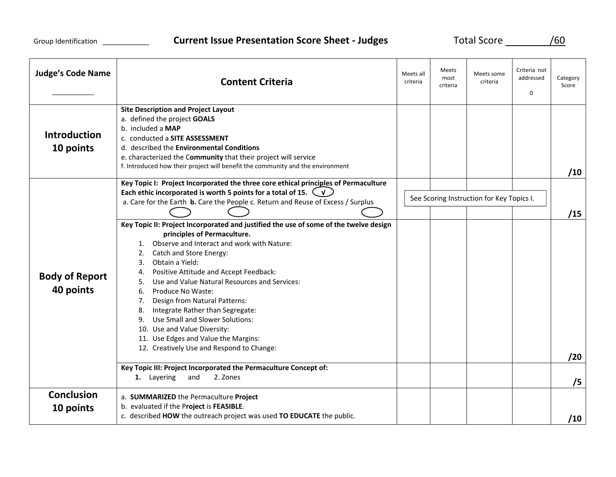| <b>Judge's Code Name</b>           | <b>Content Criteria</b>                                                                                                                                                                                                                                                                                                                                                                                                                                                                                                                                                                                                                                                                                       | Meets all<br>criteria | Meets<br>most<br>criteria                 | Meets some<br>criteria | Criteria not<br>addressed<br>$\mathbf 0$ | Category<br>Score |
|------------------------------------|---------------------------------------------------------------------------------------------------------------------------------------------------------------------------------------------------------------------------------------------------------------------------------------------------------------------------------------------------------------------------------------------------------------------------------------------------------------------------------------------------------------------------------------------------------------------------------------------------------------------------------------------------------------------------------------------------------------|-----------------------|-------------------------------------------|------------------------|------------------------------------------|-------------------|
| <b>Introduction</b><br>10 points   | <b>Site Description and Project Layout</b><br>a. defined the project GOALS<br>b. included a MAP<br>c. conducted a SITE ASSESSMENT<br>d. described the Environmental Conditions<br>e. characterized the Community that their project will service<br>f. Introduced how their project will benefit the community and the environment<br>Key Topic I: Project Incorporated the three core ethical principles of Permaculture                                                                                                                                                                                                                                                                                     |                       |                                           |                        |                                          | /10               |
| <b>Body of Report</b><br>40 points | Each ethic incorporated is worth 5 points for a total of 15. $\bigcup$<br>a. Care for the Earth b. Care the People c. Return and Reuse of Excess / Surplus                                                                                                                                                                                                                                                                                                                                                                                                                                                                                                                                                    |                       | See Scoring Instruction for Key Topics I. |                        |                                          | /15               |
|                                    | Key Topic II: Project Incorporated and justified the use of some of the twelve design<br>principles of Permaculture.<br>1. Observe and Interact and work with Nature:<br>Catch and Store Energy:<br>2.<br>Obtain a Yield:<br>3.<br>Positive Attitude and Accept Feedback:<br>4.<br>Use and Value Natural Resources and Services:<br>5.<br>6. Produce No Waste:<br>Design from Natural Patterns:<br>7.<br>8. Integrate Rather than Segregate:<br>9. Use Small and Slower Solutions:<br>10. Use and Value Diversity:<br>11. Use Edges and Value the Margins:<br>12. Creatively Use and Respond to Change:<br>Key Topic III: Project Incorporated the Permaculture Concept of:<br>1. Layering<br>2. Zones<br>and |                       |                                           |                        |                                          | /20<br>/5         |
| <b>Conclusion</b>                  | a. SUMMARIZED the Permaculture Project                                                                                                                                                                                                                                                                                                                                                                                                                                                                                                                                                                                                                                                                        |                       |                                           |                        |                                          |                   |
| 10 points                          | b. evaluated if the Project is FEASIBLE.<br>c. described HOW the outreach project was used TO EDUCATE the public.                                                                                                                                                                                                                                                                                                                                                                                                                                                                                                                                                                                             |                       |                                           |                        |                                          | /10               |